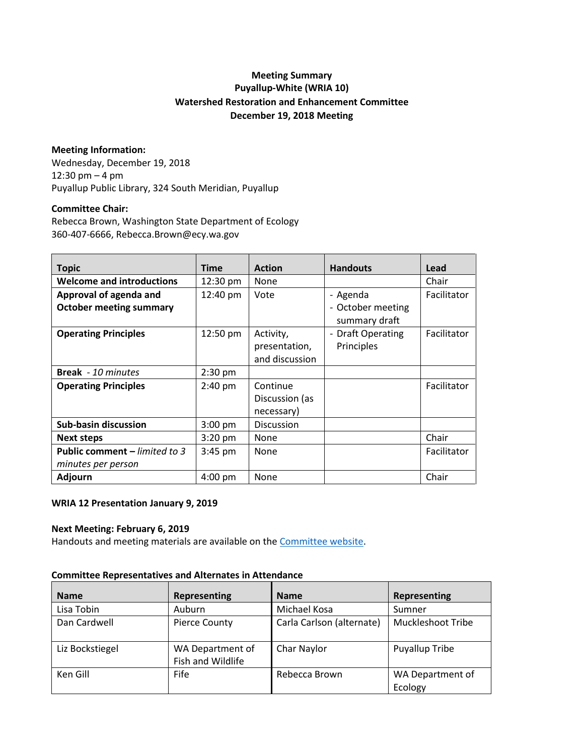# **Meeting Summary Puyallup-White (WRIA 10) Watershed Restoration and Enhancement Committee December 19, 2018 Meeting**

# **Meeting Information:**

Wednesday, December 19, 2018 12:30 pm – 4 pm Puyallup Public Library, 324 South Meridian, Puyallup

## **Committee Chair:**

Rebecca Brown, Washington State Department of Ecology 360-407-6666, Rebecca.Brown@ecy.wa.gov

| <b>Topic</b>                         | <b>Time</b>       | <b>Action</b>  | <b>Handouts</b>                                    | Lead        |
|--------------------------------------|-------------------|----------------|----------------------------------------------------|-------------|
| <b>Welcome and introductions</b>     | 12:30 pm          | None           |                                                    | Chair       |
| Approval of agenda and               | 12:40 pm          | Vote           | - Agenda                                           | Facilitator |
| <b>October meeting summary</b>       |                   |                | - October meeting<br>summary draft                 |             |
| <b>Operating Principles</b>          | 12:50 pm          | Activity,      | <b>Draft Operating</b><br>$\overline{\phantom{a}}$ | Facilitator |
|                                      |                   | presentation,  | Principles                                         |             |
|                                      |                   | and discussion |                                                    |             |
| <b>Break</b> - 10 minutes            | $2:30$ pm         |                |                                                    |             |
| <b>Operating Principles</b>          | 2:40 pm           | Continue       |                                                    | Facilitator |
|                                      |                   | Discussion (as |                                                    |             |
|                                      |                   | necessary)     |                                                    |             |
| <b>Sub-basin discussion</b>          | $3:00$ pm         | Discussion     |                                                    |             |
| <b>Next steps</b>                    | $3:20$ pm         | None           |                                                    | Chair       |
| <b>Public comment – limited to 3</b> | $3:45$ pm         | None           |                                                    | Facilitator |
| minutes per person                   |                   |                |                                                    |             |
| <b>Adjourn</b>                       | $4:00 \text{ pm}$ | None           |                                                    | Chair       |

## **WRIA 12 Presentation January 9, 2019**

## **Next Meeting: February 6, 2019**

Handouts and meeting materials are available on the [Committee website.](https://www.ezview.wa.gov/site/alias__1962/37323/watershed_restoration_and_enhancement_-_wria_10.aspx)

#### **Committee Representatives and Alternates in Attendance**

| <b>Name</b>     | Representing                          | <b>Name</b>               | Representing                |
|-----------------|---------------------------------------|---------------------------|-----------------------------|
| Lisa Tobin      | <b>Auburn</b>                         | Michael Kosa              | Sumner                      |
| Dan Cardwell    | <b>Pierce County</b>                  | Carla Carlson (alternate) | <b>Muckleshoot Tribe</b>    |
| Liz Bockstiegel | WA Department of<br>Fish and Wildlife | Char Naylor               | <b>Puyallup Tribe</b>       |
| Ken Gill        | <b>Fife</b>                           | Rebecca Brown             | WA Department of<br>Ecology |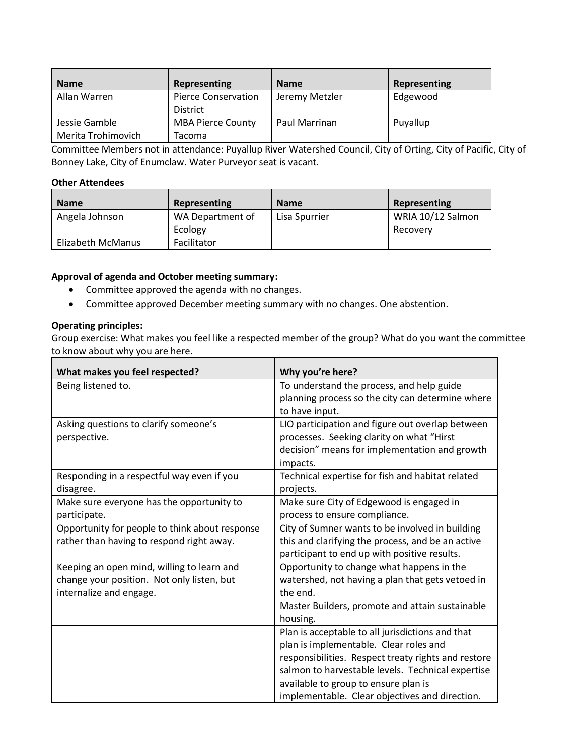| <b>Name</b>        | Representing                                  | <b>Name</b>    | Representing |
|--------------------|-----------------------------------------------|----------------|--------------|
| Allan Warren       | <b>Pierce Conservation</b><br><b>District</b> | Jeremy Metzler | Edgewood     |
| Jessie Gamble      | <b>MBA Pierce County</b>                      | Paul Marrinan  | Puyallup     |
| Merita Trohimovich | Tacoma                                        |                |              |

Committee Members not in attendance: Puyallup River Watershed Council, City of Orting, City of Pacific, City of Bonney Lake, City of Enumclaw. Water Purveyor seat is vacant.

#### **Other Attendees**

| <b>Name</b>       | Representing     | <b>Name</b>   | Representing      |
|-------------------|------------------|---------------|-------------------|
| Angela Johnson    | WA Department of | Lisa Spurrier | WRIA 10/12 Salmon |
|                   | Ecology          |               | Recovery          |
| Elizabeth McManus | Facilitator      |               |                   |

# **Approval of agenda and October meeting summary:**

- Committee approved the agenda with no changes.
- Committee approved December meeting summary with no changes. One abstention.

# **Operating principles:**

Group exercise: What makes you feel like a respected member of the group? What do you want the committee to know about why you are here.

| What makes you feel respected?                 | Why you're here?                                    |
|------------------------------------------------|-----------------------------------------------------|
| Being listened to.                             | To understand the process, and help guide           |
|                                                | planning process so the city can determine where    |
|                                                | to have input.                                      |
| Asking questions to clarify someone's          | LIO participation and figure out overlap between    |
| perspective.                                   | processes. Seeking clarity on what "Hirst           |
|                                                | decision" means for implementation and growth       |
|                                                | impacts.                                            |
| Responding in a respectful way even if you     | Technical expertise for fish and habitat related    |
| disagree.                                      | projects.                                           |
| Make sure everyone has the opportunity to      | Make sure City of Edgewood is engaged in            |
| participate.                                   | process to ensure compliance.                       |
| Opportunity for people to think about response | City of Sumner wants to be involved in building     |
| rather than having to respond right away.      | this and clarifying the process, and be an active   |
|                                                | participant to end up with positive results.        |
| Keeping an open mind, willing to learn and     | Opportunity to change what happens in the           |
| change your position. Not only listen, but     | watershed, not having a plan that gets vetoed in    |
| internalize and engage.                        | the end.                                            |
|                                                | Master Builders, promote and attain sustainable     |
|                                                | housing.                                            |
|                                                | Plan is acceptable to all jurisdictions and that    |
|                                                | plan is implementable. Clear roles and              |
|                                                | responsibilities. Respect treaty rights and restore |
|                                                | salmon to harvestable levels. Technical expertise   |
|                                                | available to group to ensure plan is                |
|                                                | implementable. Clear objectives and direction.      |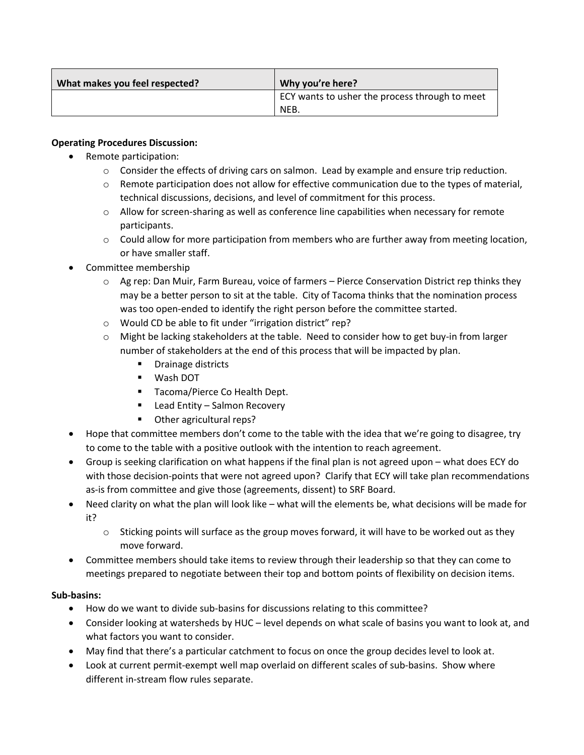| What makes you feel respected? | Why you're here?                                       |
|--------------------------------|--------------------------------------------------------|
|                                | ECY wants to usher the process through to meet<br>NEB. |

# **Operating Procedures Discussion:**

- Remote participation:
	- $\circ$  Consider the effects of driving cars on salmon. Lead by example and ensure trip reduction.
	- $\circ$  Remote participation does not allow for effective communication due to the types of material, technical discussions, decisions, and level of commitment for this process.
	- $\circ$  Allow for screen-sharing as well as conference line capabilities when necessary for remote participants.
	- $\circ$  Could allow for more participation from members who are further away from meeting location, or have smaller staff.
- Committee membership
	- $\circ$  Ag rep: Dan Muir, Farm Bureau, voice of farmers Pierce Conservation District rep thinks they may be a better person to sit at the table. City of Tacoma thinks that the nomination process was too open-ended to identify the right person before the committee started.
	- o Would CD be able to fit under "irrigation district" rep?
	- $\circ$  Might be lacking stakeholders at the table. Need to consider how to get buy-in from larger number of stakeholders at the end of this process that will be impacted by plan.
		- **•** Drainage districts
		- Wash DOT
		- **Tacoma/Pierce Co Health Dept.**
		- **EXECO ACCOLLEGAT ENTITLE FIGURE:** Lead Entity Salmon Recovery
		- Other agricultural reps?
- Hope that committee members don't come to the table with the idea that we're going to disagree, try to come to the table with a positive outlook with the intention to reach agreement.
- Group is seeking clarification on what happens if the final plan is not agreed upon what does ECY do with those decision-points that were not agreed upon? Clarify that ECY will take plan recommendations as-is from committee and give those (agreements, dissent) to SRF Board.
- Need clarity on what the plan will look like what will the elements be, what decisions will be made for it?
	- $\circ$  Sticking points will surface as the group moves forward, it will have to be worked out as they move forward.
- Committee members should take items to review through their leadership so that they can come to meetings prepared to negotiate between their top and bottom points of flexibility on decision items.

# **Sub-basins:**

- How do we want to divide sub-basins for discussions relating to this committee?
- Consider looking at watersheds by HUC level depends on what scale of basins you want to look at, and what factors you want to consider.
- May find that there's a particular catchment to focus on once the group decides level to look at.
- Look at current permit-exempt well map overlaid on different scales of sub-basins. Show where different in-stream flow rules separate.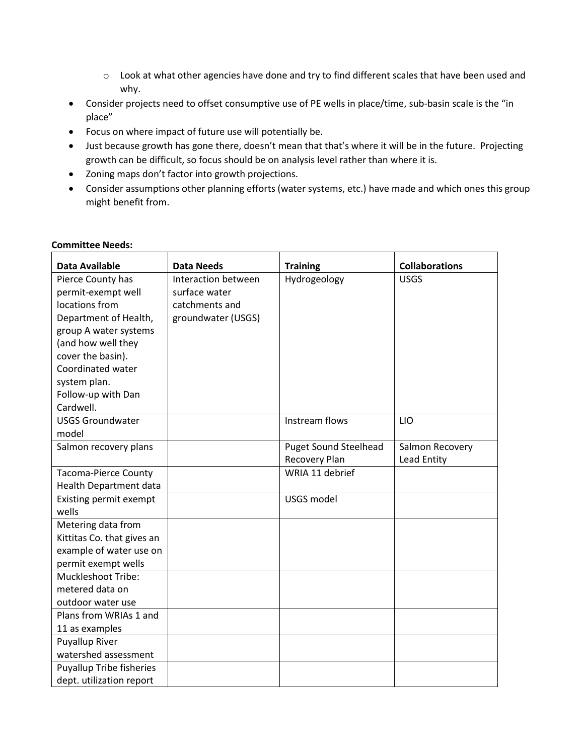- o Look at what other agencies have done and try to find different scales that have been used and why.
- Consider projects need to offset consumptive use of PE wells in place/time, sub-basin scale is the "in place"
- Focus on where impact of future use will potentially be.
- Just because growth has gone there, doesn't mean that that's where it will be in the future. Projecting growth can be difficult, so focus should be on analysis level rather than where it is.
- Zoning maps don't factor into growth projections.
- Consider assumptions other planning efforts (water systems, etc.) have made and which ones this group might benefit from.

| <b>Data Available</b>           | <b>Data Needs</b>   | <b>Training</b>              | <b>Collaborations</b> |
|---------------------------------|---------------------|------------------------------|-----------------------|
| Pierce County has               | Interaction between | Hydrogeology                 | <b>USGS</b>           |
| permit-exempt well              | surface water       |                              |                       |
| locations from                  | catchments and      |                              |                       |
| Department of Health,           | groundwater (USGS)  |                              |                       |
| group A water systems           |                     |                              |                       |
| (and how well they              |                     |                              |                       |
| cover the basin).               |                     |                              |                       |
| Coordinated water               |                     |                              |                       |
| system plan.                    |                     |                              |                       |
| Follow-up with Dan              |                     |                              |                       |
| Cardwell.                       |                     |                              |                       |
| <b>USGS Groundwater</b>         |                     | Instream flows               | LIO                   |
| model                           |                     |                              |                       |
| Salmon recovery plans           |                     | <b>Puget Sound Steelhead</b> | Salmon Recovery       |
|                                 |                     | Recovery Plan                | Lead Entity           |
| <b>Tacoma-Pierce County</b>     |                     | WRIA 11 debrief              |                       |
| Health Department data          |                     |                              |                       |
| Existing permit exempt          |                     | USGS model                   |                       |
| wells                           |                     |                              |                       |
| Metering data from              |                     |                              |                       |
| Kittitas Co. that gives an      |                     |                              |                       |
| example of water use on         |                     |                              |                       |
| permit exempt wells             |                     |                              |                       |
| Muckleshoot Tribe:              |                     |                              |                       |
| metered data on                 |                     |                              |                       |
| outdoor water use               |                     |                              |                       |
| Plans from WRIAs 1 and          |                     |                              |                       |
| 11 as examples                  |                     |                              |                       |
| <b>Puyallup River</b>           |                     |                              |                       |
| watershed assessment            |                     |                              |                       |
| <b>Puyallup Tribe fisheries</b> |                     |                              |                       |
| dept. utilization report        |                     |                              |                       |

# **Committee Needs:**